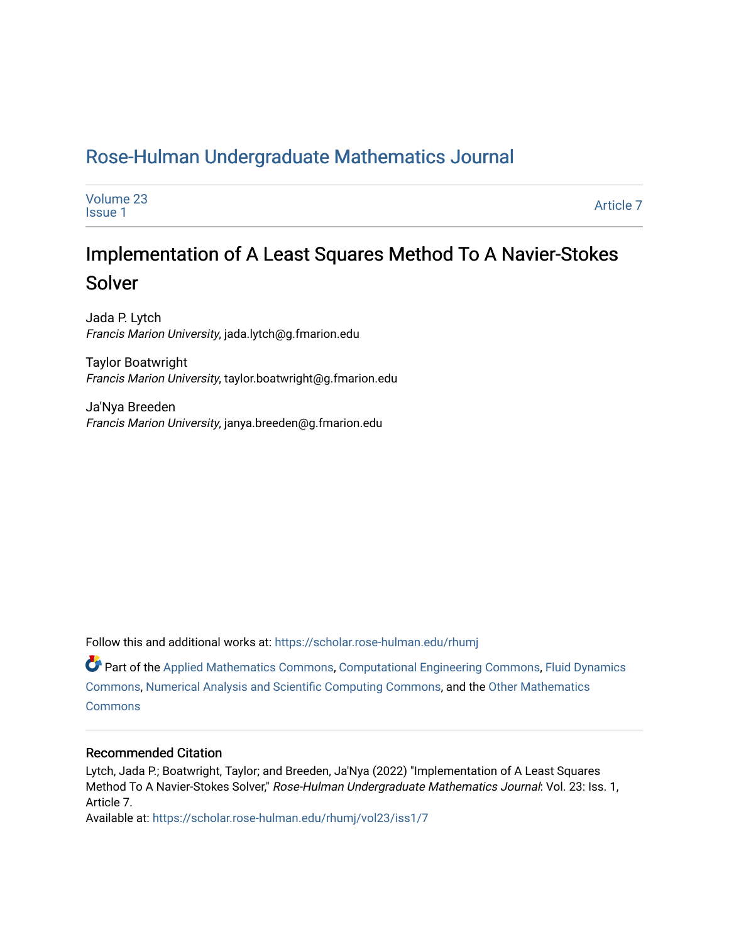# [Rose-Hulman Undergraduate Mathematics Journal](https://scholar.rose-hulman.edu/rhumj)

| Volume 23      | Article 7 |
|----------------|-----------|
| <b>Issue 1</b> |           |

# Implementation of A Least Squares Method To A Navier-Stokes Solver

Jada P. Lytch Francis Marion University, jada.lytch@g.fmarion.edu

Taylor Boatwright Francis Marion University, taylor.boatwright@g.fmarion.edu

Ja'Nya Breeden Francis Marion University, janya.breeden@g.fmarion.edu

Follow this and additional works at: [https://scholar.rose-hulman.edu/rhumj](https://scholar.rose-hulman.edu/rhumj?utm_source=scholar.rose-hulman.edu%2Frhumj%2Fvol23%2Fiss1%2F7&utm_medium=PDF&utm_campaign=PDFCoverPages)

Part of the [Applied Mathematics Commons](https://network.bepress.com/hgg/discipline/115?utm_source=scholar.rose-hulman.edu%2Frhumj%2Fvol23%2Fiss1%2F7&utm_medium=PDF&utm_campaign=PDFCoverPages), [Computational Engineering Commons,](https://network.bepress.com/hgg/discipline/311?utm_source=scholar.rose-hulman.edu%2Frhumj%2Fvol23%2Fiss1%2F7&utm_medium=PDF&utm_campaign=PDFCoverPages) [Fluid Dynamics](https://network.bepress.com/hgg/discipline/201?utm_source=scholar.rose-hulman.edu%2Frhumj%2Fvol23%2Fiss1%2F7&utm_medium=PDF&utm_campaign=PDFCoverPages)  [Commons](https://network.bepress.com/hgg/discipline/201?utm_source=scholar.rose-hulman.edu%2Frhumj%2Fvol23%2Fiss1%2F7&utm_medium=PDF&utm_campaign=PDFCoverPages), [Numerical Analysis and Scientific Computing Commons](https://network.bepress.com/hgg/discipline/147?utm_source=scholar.rose-hulman.edu%2Frhumj%2Fvol23%2Fiss1%2F7&utm_medium=PDF&utm_campaign=PDFCoverPages), and the [Other Mathematics](https://network.bepress.com/hgg/discipline/185?utm_source=scholar.rose-hulman.edu%2Frhumj%2Fvol23%2Fiss1%2F7&utm_medium=PDF&utm_campaign=PDFCoverPages)  **[Commons](https://network.bepress.com/hgg/discipline/185?utm_source=scholar.rose-hulman.edu%2Frhumj%2Fvol23%2Fiss1%2F7&utm_medium=PDF&utm_campaign=PDFCoverPages)** 

# Recommended Citation

Lytch, Jada P.; Boatwright, Taylor; and Breeden, Ja'Nya (2022) "Implementation of A Least Squares Method To A Navier-Stokes Solver," Rose-Hulman Undergraduate Mathematics Journal: Vol. 23: Iss. 1, Article 7.

Available at: [https://scholar.rose-hulman.edu/rhumj/vol23/iss1/7](https://scholar.rose-hulman.edu/rhumj/vol23/iss1/7?utm_source=scholar.rose-hulman.edu%2Frhumj%2Fvol23%2Fiss1%2F7&utm_medium=PDF&utm_campaign=PDFCoverPages)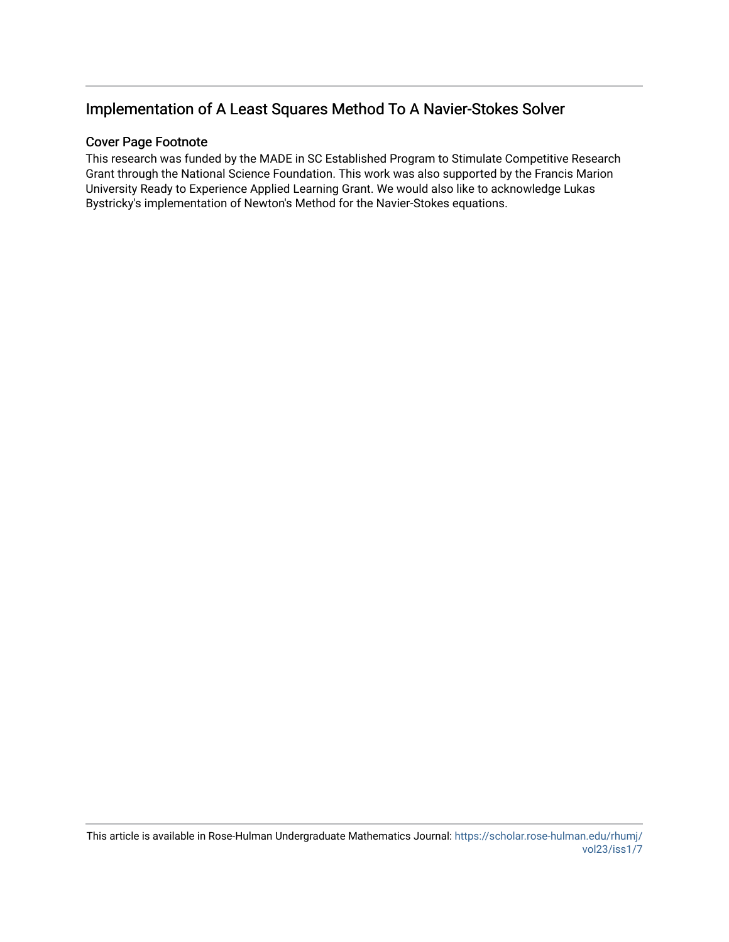# Implementation of A Least Squares Method To A Navier-Stokes Solver

# Cover Page Footnote

This research was funded by the MADE in SC Established Program to Stimulate Competitive Research Grant through the National Science Foundation. This work was also supported by the Francis Marion University Ready to Experience Applied Learning Grant. We would also like to acknowledge Lukas Bystricky's implementation of Newton's Method for the Navier-Stokes equations.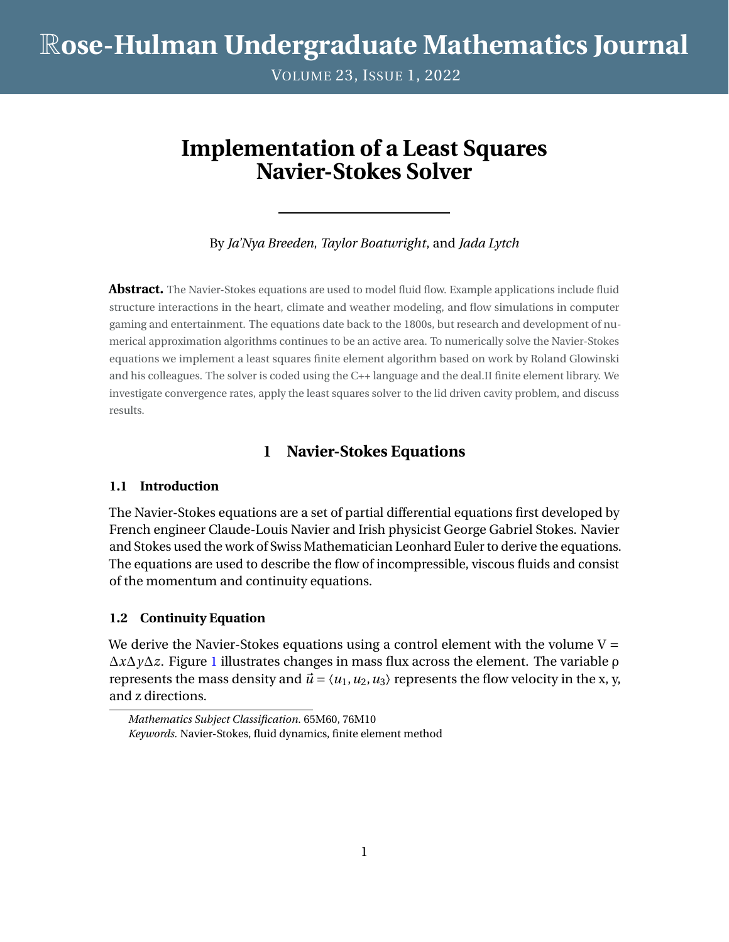# R**ose-Hulman Undergraduate Mathematics Journal**

VOLUME 23, ISSUE 1, 2022

# **Implementation of a Least Squares Navier-Stokes Solver**

By *Ja'Nya Breeden*, *Taylor Boatwright*, and *Jada Lytch*

**Abstract.** The Navier-Stokes equations are used to model fluid flow. Example applications include fluid structure interactions in the heart, climate and weather modeling, and flow simulations in computer gaming and entertainment. The equations date back to the 1800s, but research and development of numerical approximation algorithms continues to be an active area. To numerically solve the Navier-Stokes equations we implement a least squares finite element algorithm based on work by Roland Glowinski and his colleagues. The solver is coded using the C++ language and the deal.II finite element library. We investigate convergence rates, apply the least squares solver to the lid driven cavity problem, and discuss results.

# **1 Navier-Stokes Equations**

## **1.1 Introduction**

The Navier-Stokes equations are a set of partial differential equations first developed by French engineer Claude-Louis Navier and Irish physicist George Gabriel Stokes. Navier and Stokes used the work of Swiss Mathematician Leonhard Euler to derive the equations. The equations are used to describe the flow of incompressible, viscous fluids and consist of the momentum and continuity equations.

#### **1.2 Continuity Equation**

We derive the Navier-Stokes equations using a control element with the volume  $V =$ ∆*x*∆*y*∆*z*. Figure [1](#page-3-0) illustrates changes in mass flux across the element. The variable ρ represents the mass density and  $\vec{u} = \langle u_1, u_2, u_3 \rangle$  represents the flow velocity in the x, y, and z directions.

*Mathematics Subject Classification.* 65M60, 76M10 *Keywords.* Navier-Stokes, fluid dynamics, finite element method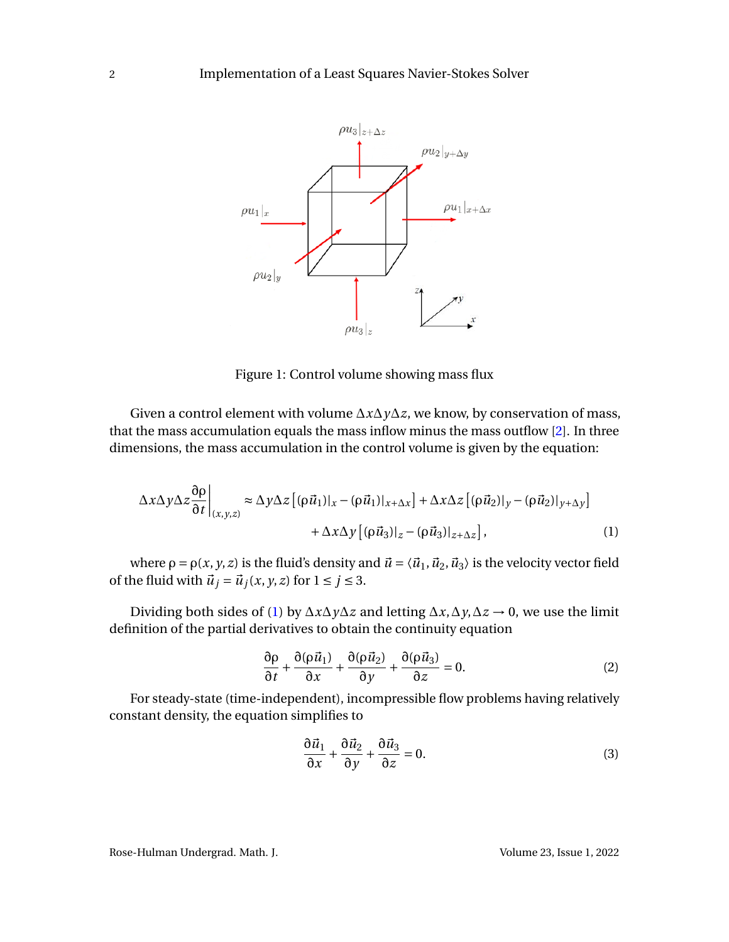<span id="page-3-0"></span>

Figure 1: Control volume showing mass flux

Given a control element with volume ∆*x*∆*y*∆*z*, we know, by conservation of mass, that the mass accumulation equals the mass inflow minus the mass outflow [\[2\]](#page-17-0). In three dimensions, the mass accumulation in the control volume is given by the equation:

$$
\Delta x \Delta y \Delta z \frac{\partial \rho}{\partial t} \Big|_{(x,y,z)} \approx \Delta y \Delta z \left[ (\rho \vec{u}_1)|_x - (\rho \vec{u}_1)|_{x+\Delta x} \right] + \Delta x \Delta z \left[ (\rho \vec{u}_2)|_y - (\rho \vec{u}_2)|_{y+\Delta y} \right] + \Delta x \Delta y \left[ (\rho \vec{u}_3)|_z - (\rho \vec{u}_3)|_{z+\Delta z} \right],
$$
(1)

where  $\rho = \rho(x, y, z)$  is the fluid's density and  $\vec{u} = \langle \vec{u}_1, \vec{u}_2, \vec{u}_3 \rangle$  is the velocity vector field of the fluid with  $\vec{u}_j = \vec{u}_j(x, y, z)$  for  $1 \le j \le 3$ .

Dividing both sides of [\(1\)](#page-3-1) by ∆*x*∆*y*∆*z* and letting ∆*x*,∆*y*,∆*z* → 0, we use the limit definition of the partial derivatives to obtain the continuity equation

<span id="page-3-1"></span>
$$
\frac{\partial \rho}{\partial t} + \frac{\partial (\rho \vec{u}_1)}{\partial x} + \frac{\partial (\rho \vec{u}_2)}{\partial y} + \frac{\partial (\rho \vec{u}_3)}{\partial z} = 0.
$$
 (2)

For steady-state (time-independent), incompressible flow problems having relatively constant density, the equation simplifies to

$$
\frac{\partial \vec{u}_1}{\partial x} + \frac{\partial \vec{u}_2}{\partial y} + \frac{\partial \vec{u}_3}{\partial z} = 0.
$$
 (3)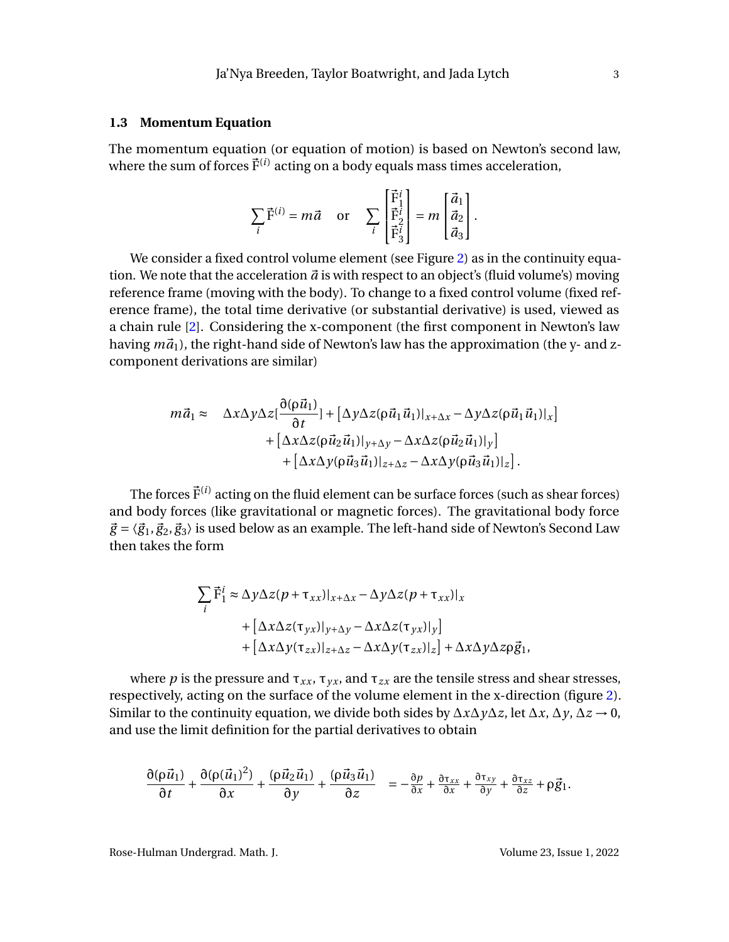#### **1.3 Momentum Equation**

The momentum equation (or equation of motion) is based on Newton's second law, where the sum of forces  $\vec{F}^{(i)}$  acting on a body equals mass times acceleration,

$$
\sum_{i} \vec{\mathrm{F}}^{(i)} = m\vec{a} \quad \text{or} \quad \sum_{i} \begin{bmatrix} \vec{\mathrm{F}}_{1}^{i} \\ \vec{\mathrm{F}}_{2}^{i} \\ \vec{\mathrm{F}}_{3}^{i} \end{bmatrix} = m \begin{bmatrix} \vec{a}_{1} \\ \vec{a}_{2} \\ \vec{a}_{3} \end{bmatrix}.
$$

We consider a fixed control volume element (see Figure [2\)](#page-5-0) as in the continuity equation. We note that the acceleration  $\vec{a}$  is with respect to an object's (fluid volume's) moving reference frame (moving with the body). To change to a fixed control volume (fixed reference frame), the total time derivative (or substantial derivative) is used, viewed as a chain rule [\[2\]](#page-17-0). Considering the x-component (the first component in Newton's law having  $m\vec{a}_1$ ), the right-hand side of Newton's law has the approximation (the y- and zcomponent derivations are similar)

$$
m\vec{a}_1 \approx \Delta x \Delta y \Delta z \left[\frac{\partial(\rho \vec{u}_1)}{\partial t}\right] + \left[\Delta y \Delta z (\rho \vec{u}_1 \vec{u}_1)|_{x+\Delta x} - \Delta y \Delta z (\rho \vec{u}_1 \vec{u}_1)|_x\right] + \left[\Delta x \Delta z (\rho \vec{u}_2 \vec{u}_1)|_{y+\Delta y} - \Delta x \Delta z (\rho \vec{u}_2 \vec{u}_1)|_y\right] + \left[\Delta x \Delta y (\rho \vec{u}_3 \vec{u}_1)|_{z+\Delta z} - \Delta x \Delta y (\rho \vec{u}_3 \vec{u}_1)|_z\right].
$$

The forces  $\vec{\mathrm{F}}^{(i)}$  acting on the fluid element can be surface forces (such as shear forces) and body forces (like gravitational or magnetic forces). The gravitational body force  $\vec{g} = \langle \vec{g}_1, \vec{g}_2, \vec{g}_3 \rangle$  is used below as an example. The left-hand side of Newton's Second Law then takes the form

$$
\sum_{i} \vec{F}_{1}^{i} \approx \Delta y \Delta z (p + \tau_{xx})|_{x + \Delta x} - \Delta y \Delta z (p + \tau_{xx})|_{x}
$$
  
+ 
$$
[\Delta x \Delta z (\tau_{yx})|_{y + \Delta y} - \Delta x \Delta z (\tau_{yx})|_{y}]
$$
  
+ 
$$
[\Delta x \Delta y (\tau_{zx})|_{z + \Delta z} - \Delta x \Delta y (\tau_{zx})|_{z}] + \Delta x \Delta y \Delta z \rho \vec{g}_{1},
$$

where *p* is the pressure and  $\tau_{xx}$ ,  $\tau_{yx}$ , and  $\tau_{zx}$  are the tensile stress and shear stresses, respectively, acting on the surface of the volume element in the x-direction (figure [2\)](#page-5-0). Similar to the continuity equation, we divide both sides by  $\Delta x \Delta y \Delta z$ , let  $\Delta x$ ,  $\Delta y$ ,  $\Delta z \rightarrow 0$ , and use the limit definition for the partial derivatives to obtain

$$
\frac{\partial (\rho \vec{u}_1)}{\partial t} + \frac{\partial (\rho (\vec{u}_1)^2)}{\partial x} + \frac{(\rho \vec{u}_2 \vec{u}_1)}{\partial y} + \frac{(\rho \vec{u}_3 \vec{u}_1)}{\partial z} = -\frac{\partial p}{\partial x} + \frac{\partial \tau_{xx}}{\partial x} + \frac{\partial \tau_{xy}}{\partial y} + \frac{\partial \tau_{xz}}{\partial z} + \rho \vec{g}_1.
$$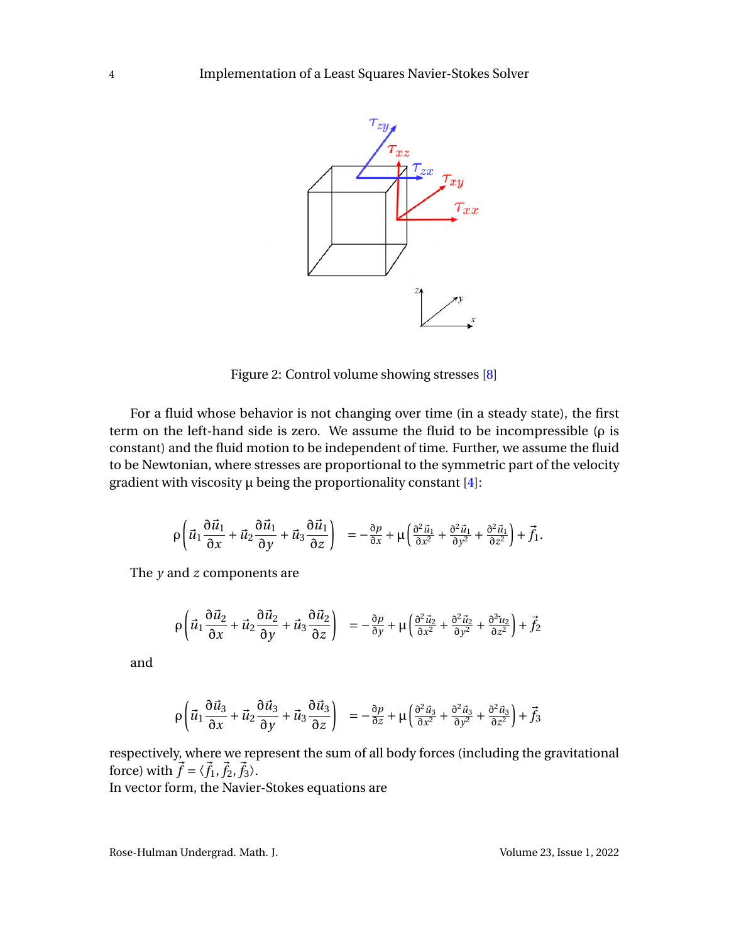<span id="page-5-0"></span>

Figure 2: Control volume showing stresses [\[8\]](#page-17-1)

For a fluid whose behavior is not changing over time (in a steady state), the first term on the left-hand side is zero. We assume the fluid to be incompressible (ρ is constant) and the fluid motion to be independent of time. Further, we assume the fluid to be Newtonian, where stresses are proportional to the symmetric part of the velocity gradient with viscosity  $\mu$  being the proportionality constant [\[4\]](#page-17-2):

$$
\rho\left(\vec{u}_1\frac{\partial\vec{u}_1}{\partial x}+\vec{u}_2\frac{\partial\vec{u}_1}{\partial y}+\vec{u}_3\frac{\partial\vec{u}_1}{\partial z}\right) = -\frac{\partial p}{\partial x}+\mu\left(\frac{\partial^2\vec{u}_1}{\partial x^2}+\frac{\partial^2\vec{u}_1}{\partial y^2}+\frac{\partial^2\vec{u}_1}{\partial z^2}\right)+\vec{f}_1.
$$

The *y* and *z* components are

$$
\rho \left( \vec{u}_1 \frac{\partial \vec{u}_2}{\partial x} + \vec{u}_2 \frac{\partial \vec{u}_2}{\partial y} + \vec{u}_3 \frac{\partial \vec{u}_2}{\partial z} \right) = -\frac{\partial p}{\partial y} + \mu \left( \frac{\partial^2 \vec{u}_2}{\partial x^2} + \frac{\partial^2 \vec{u}_2}{\partial y^2} + \frac{\partial^2 \vec{u}_2}{\partial z^2} \right) + \vec{f}_2
$$

and

$$
\rho\left(\vec{u}_1\frac{\partial\vec{u}_3}{\partial x} + \vec{u}_2\frac{\partial\vec{u}_3}{\partial y} + \vec{u}_3\frac{\partial\vec{u}_3}{\partial z}\right) = -\frac{\partial p}{\partial z} + \mu\left(\frac{\partial^2\vec{u}_3}{\partial x^2} + \frac{\partial^2\vec{u}_3}{\partial y^2} + \frac{\partial^2\vec{u}_3}{\partial z^2}\right) + \vec{f}_3
$$

respectively, where we represent the sum of all body forces (including the gravitational force) with  $\vec{f} = \langle \vec{f}_1, \vec{f}_2, \vec{f}_3 \rangle$ . In vector form, the Navier-Stokes equations are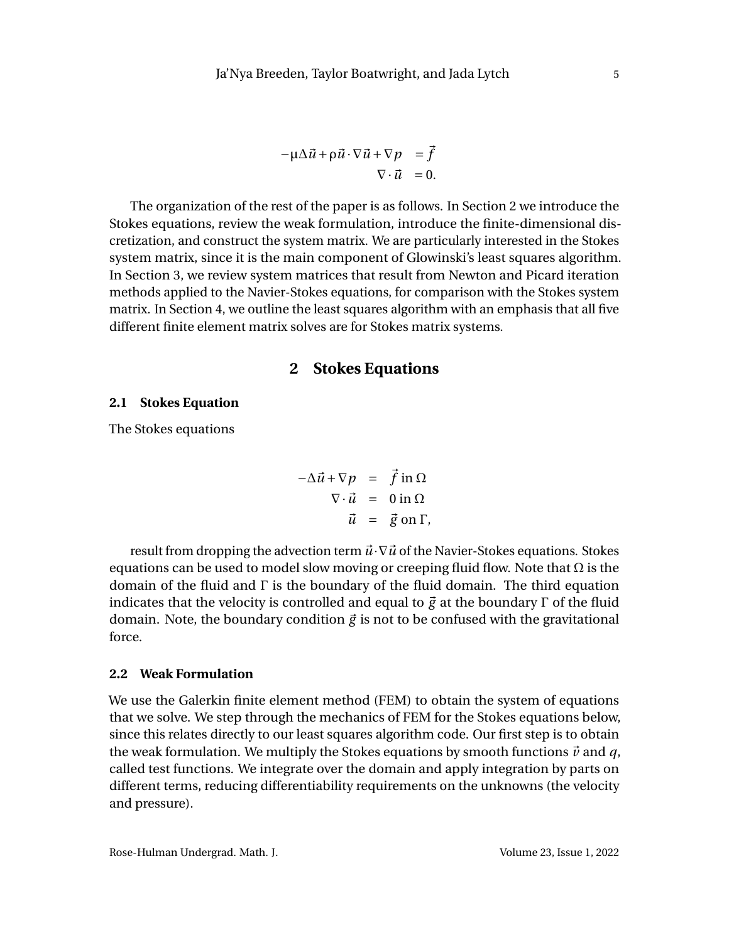$$
-\mu \Delta \vec{u} + \rho \vec{u} \cdot \nabla \vec{u} + \nabla p = \vec{f}
$$
  

$$
\nabla \cdot \vec{u} = 0.
$$

The organization of the rest of the paper is as follows. In Section 2 we introduce the Stokes equations, review the weak formulation, introduce the finite-dimensional discretization, and construct the system matrix. We are particularly interested in the Stokes system matrix, since it is the main component of Glowinski's least squares algorithm. In Section 3, we review system matrices that result from Newton and Picard iteration methods applied to the Navier-Stokes equations, for comparison with the Stokes system matrix. In Section 4, we outline the least squares algorithm with an emphasis that all five different finite element matrix solves are for Stokes matrix systems.

# **2 Stokes Equations**

#### **2.1 Stokes Equation**

The Stokes equations

$$
-\Delta \vec{u} + \nabla p = \vec{f} \text{ in } \Omega
$$
  

$$
\nabla \cdot \vec{u} = 0 \text{ in } \Omega
$$
  

$$
\vec{u} = \vec{g} \text{ on } \Gamma,
$$

result from dropping the advection term  $\vec{u} \cdot \nabla \vec{u}$  of the Navier-Stokes equations. Stokes equations can be used to model slow moving or creeping fluid flow. Note that  $\Omega$  is the domain of the fluid and Γ is the boundary of the fluid domain. The third equation indicates that the velocity is controlled and equal to  $\vec{g}$  at the boundary Γ of the fluid domain. Note, the boundary condition  $\vec{g}$  is not to be confused with the gravitational force.

#### **2.2 Weak Formulation**

We use the Galerkin finite element method (FEM) to obtain the system of equations that we solve. We step through the mechanics of FEM for the Stokes equations below, since this relates directly to our least squares algorithm code. Our first step is to obtain the weak formulation. We multiply the Stokes equations by smooth functions  $\vec{v}$  and  $q$ , called test functions. We integrate over the domain and apply integration by parts on different terms, reducing differentiability requirements on the unknowns (the velocity and pressure).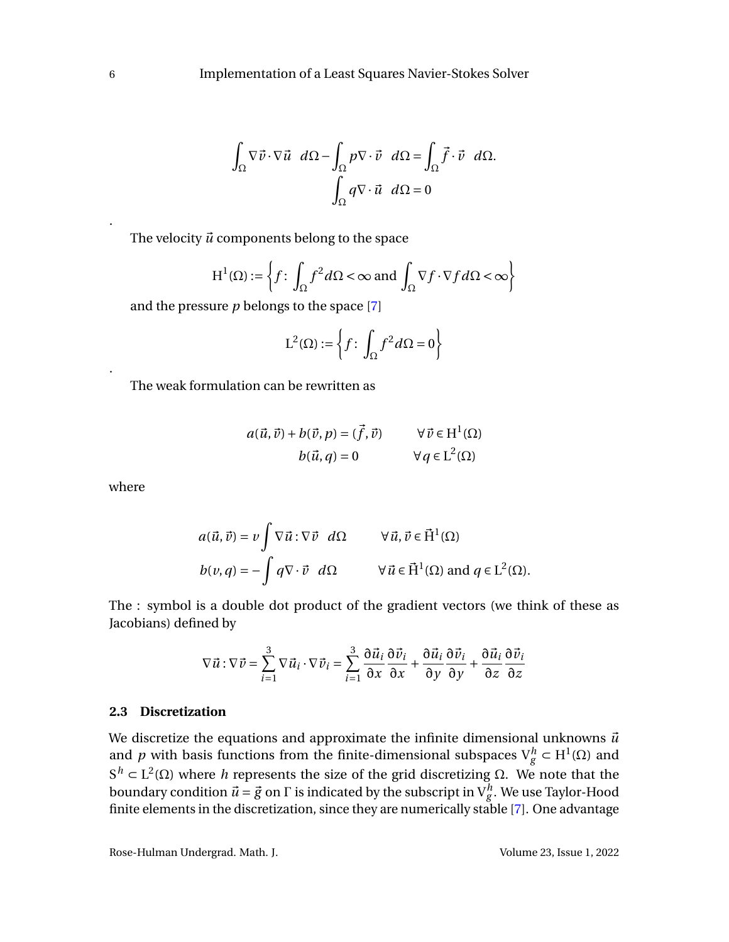$$
\int_{\Omega} \nabla \vec{v} \cdot \nabla \vec{u} \, d\Omega - \int_{\Omega} p \nabla \cdot \vec{v} \, d\Omega = \int_{\Omega} \vec{f} \cdot \vec{v} \, d\Omega.
$$
\n
$$
\int_{\Omega} q \nabla \cdot \vec{u} \, d\Omega = 0
$$

The velocity  $\vec{u}$  components belong to the space

$$
H^{1}(\Omega) := \left\{ f \colon \int_{\Omega} f^{2} d\Omega < \infty \text{ and } \int_{\Omega} \nabla f \cdot \nabla f d\Omega < \infty \right\}
$$

and the pressure *p* belongs to the space [\[7\]](#page-17-3)

$$
L^2(\Omega) := \left\{ f : \int_{\Omega} f^2 d\Omega = 0 \right\}
$$

The weak formulation can be rewritten as

$$
a(\vec{u}, \vec{v}) + b(\vec{v}, p) = (\vec{f}, \vec{v}) \qquad \forall \vec{v} \in H^{1}(\Omega)
$$

$$
b(\vec{u}, q) = 0 \qquad \forall q \in L^{2}(\Omega)
$$

where

$$
a(\vec{u}, \vec{v}) = v \int \nabla \vec{u} : \nabla \vec{v} \, d\Omega \qquad \forall \vec{u}, \vec{v} \in \vec{H}^1(\Omega)
$$
  

$$
b(v, q) = - \int q \nabla \cdot \vec{v} \, d\Omega \qquad \forall \vec{u} \in \vec{H}^1(\Omega) \text{ and } q \in L^2(\Omega).
$$

The : symbol is a double dot product of the gradient vectors (we think of these as Jacobians) defined by

$$
\nabla \vec{u} : \nabla \vec{v} = \sum_{i=1}^{3} \nabla \vec{u}_i \cdot \nabla \vec{v}_i = \sum_{i=1}^{3} \frac{\partial \vec{u}_i}{\partial x} \frac{\partial \vec{v}_i}{\partial x} + \frac{\partial \vec{u}_i}{\partial y} \frac{\partial \vec{v}_i}{\partial y} + \frac{\partial \vec{u}_i}{\partial z} \frac{\partial \vec{v}_i}{\partial z}
$$

#### <span id="page-7-0"></span>**2.3 Discretization**

We discretize the equations and approximate the infinite dimensional unknowns  $\vec{u}$ and *p* with basis functions from the finite-dimensional subspaces  $V_g^h \subset H^1(\Omega)$  and  $S<sup>h</sup>$  ⊂ L<sup>2</sup>(Ω) where *h* represents the size of the grid discretizing Ω. We note that the boundary condition  $\vec{u} = \vec{g}$  on  $\Gamma$  is indicated by the subscript in  $V_g^h$ . We use Taylor-Hood finite elements in the discretization, since they are numerically stable [\[7\]](#page-17-3). One advantage

.

.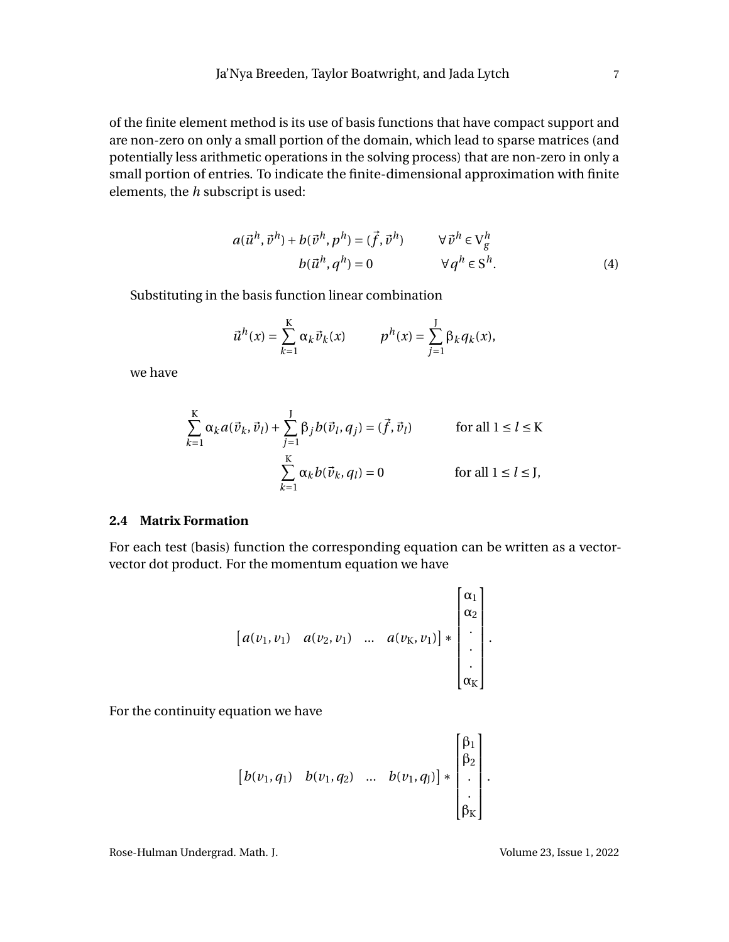of the finite element method is its use of basis functions that have compact support and are non-zero on only a small portion of the domain, which lead to sparse matrices (and potentially less arithmetic operations in the solving process) that are non-zero in only a small portion of entries. To indicate the finite-dimensional approximation with finite elements, the *h* subscript is used:

$$
a(\vec{u}^h, \vec{v}^h) + b(\vec{v}^h, p^h) = (\vec{f}, \vec{v}^h) \qquad \forall \vec{v}^h \in V_g^h
$$
  

$$
b(\vec{u}^h, q^h) = 0 \qquad \forall q^h \in S^h.
$$
 (4)

Substituting in the basis function linear combination

<span id="page-8-0"></span>
$$
\vec{u}^h(x) = \sum_{k=1}^K \alpha_k \vec{v}_k(x) \qquad p^h(x) = \sum_{j=1}^J \beta_k q_k(x),
$$

we have

$$
\sum_{k=1}^{K} \alpha_k a(\vec{v}_k, \vec{v}_l) + \sum_{j=1}^{J} \beta_j b(\vec{v}_l, q_j) = (\vec{f}, \vec{v}_l)
$$
 for all  $1 \le l \le K$   

$$
\sum_{k=1}^{K} \alpha_k b(\vec{v}_k, q_l) = 0
$$
 for all  $1 \le l \le J$ ,

#### **2.4 Matrix Formation**

For each test (basis) function the corresponding equation can be written as a vectorvector dot product. For the momentum equation we have

$$
\begin{bmatrix} a(v_1, v_1) & a(v_2, v_1) & \dots & a(v_K, v_1) \end{bmatrix} * \begin{bmatrix} \alpha_1 \\ \alpha_2 \\ \vdots \\ \alpha_K \end{bmatrix}.
$$

For the continuity equation we have

$$
\begin{bmatrix} b(v_1, q_1) & b(v_1, q_2) & \dots & b(v_1, q_1) \end{bmatrix} * \begin{bmatrix} \beta_1 \\ \beta_2 \\ \vdots \\ \beta_K \end{bmatrix}.
$$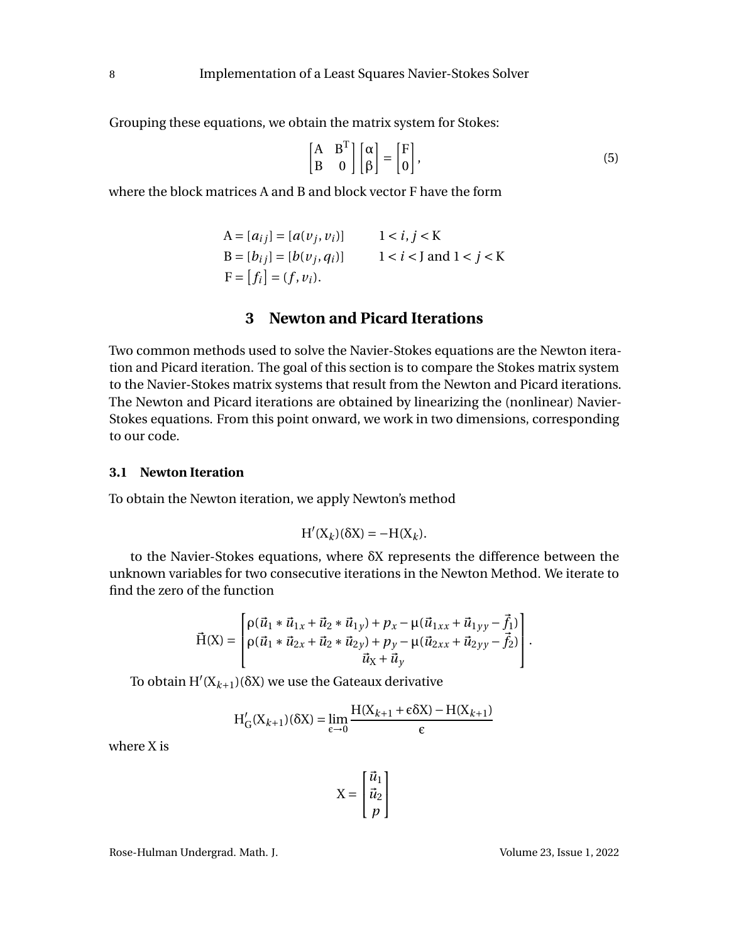Grouping these equations, we obtain the matrix system for Stokes:

<span id="page-9-0"></span>
$$
\begin{bmatrix} A & B^T \ B & 0 \end{bmatrix} \begin{bmatrix} \alpha \\ \beta \end{bmatrix} = \begin{bmatrix} F \\ 0 \end{bmatrix},
$$
 (5)

where the block matrices A and B and block vector F have the form

$$
A = [a_{ij}] = [a(v_j, v_i)] \t 1 < i, j < K
$$
  
\n
$$
B = [b_{ij}] = [b(v_j, q_i)] \t 1 < i < J \text{ and } 1 < j < K
$$
  
\n
$$
F = [f_i] = (f, v_i).
$$

# **3 Newton and Picard Iterations**

Two common methods used to solve the Navier-Stokes equations are the Newton iteration and Picard iteration. The goal of this section is to compare the Stokes matrix system to the Navier-Stokes matrix systems that result from the Newton and Picard iterations. The Newton and Picard iterations are obtained by linearizing the (nonlinear) Navier-Stokes equations. From this point onward, we work in two dimensions, corresponding to our code.

#### **3.1 Newton Iteration**

To obtain the Newton iteration, we apply Newton's method

$$
H'(X_k)(\delta X) = -H(X_k).
$$

to the Navier-Stokes equations, where  $\delta X$  represents the difference between the unknown variables for two consecutive iterations in the Newton Method. We iterate to find the zero of the function

$$
\vec{H}(X) = \begin{bmatrix} \rho(\vec{u}_1 * \vec{u}_{1x} + \vec{u}_2 * \vec{u}_{1y}) + p_x - \mu(\vec{u}_{1xx} + \vec{u}_{1yy} - \vec{f}_1) \\ \rho(\vec{u}_1 * \vec{u}_{2x} + \vec{u}_2 * \vec{u}_{2y}) + p_y - \mu(\vec{u}_{2xx} + \vec{u}_{2yy} - \vec{f}_2) \\ \vec{u}_X + \vec{u}_y \end{bmatrix}.
$$

To obtain  $H'(X_{k+1})(\delta X)$  we use the Gateaux derivative

$$
H'_{G}(X_{k+1})(\delta X) = \lim_{\epsilon \to 0} \frac{H(X_{k+1} + \epsilon \delta X) - H(X_{k+1})}{\epsilon}
$$

where X is

$$
X = \begin{bmatrix} \vec{u}_1 \\ \vec{u}_2 \\ p \end{bmatrix}
$$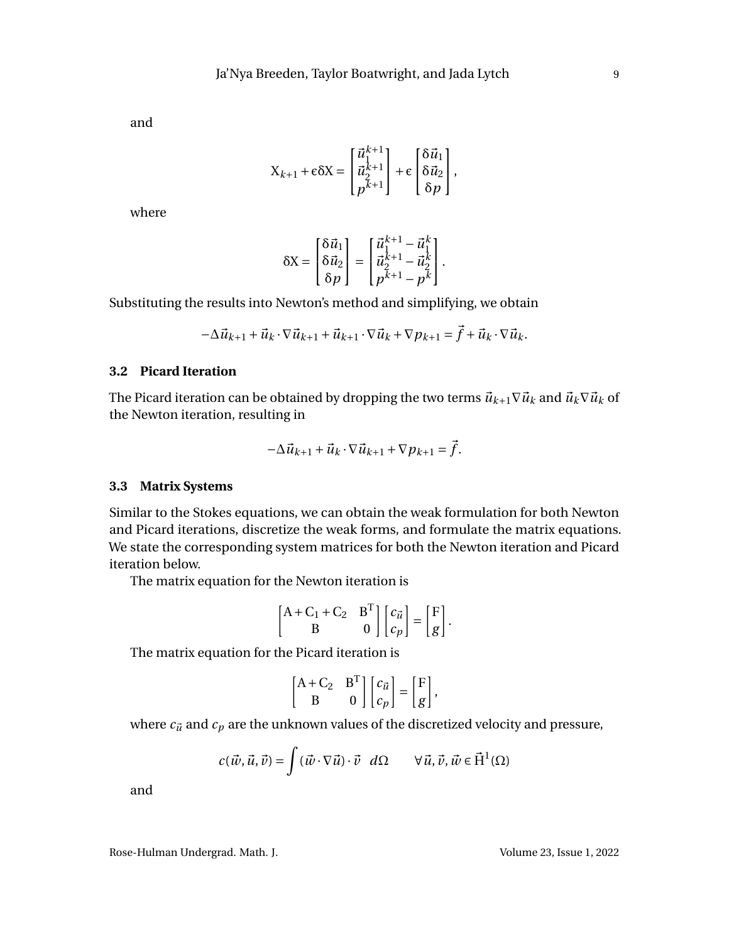and

$$
X_{k+1} + \varepsilon \delta X = \begin{bmatrix} \vec{u}_1^{k+1} \\ \vec{u}_2^{k+1} \\ p^{k+1} \end{bmatrix} + \varepsilon \begin{bmatrix} \delta \vec{u}_1 \\ \delta \vec{u}_2 \\ \delta p \end{bmatrix},
$$

where

$$
\delta \mathbf{X} = \begin{bmatrix} \delta \vec{u}_1 \\ \delta \vec{u}_2 \\ \delta p \end{bmatrix} = \begin{bmatrix} \vec{u}_1^{k+1} - \vec{u}_1^k \\ \vec{u}_2^{k+1} - \vec{u}_2^k \\ p^{k+1} - p^k \end{bmatrix}.
$$

Substituting the results into Newton's method and simplifying, we obtain

$$
-\Delta \vec{u}_{k+1} + \vec{u}_k \cdot \nabla \vec{u}_{k+1} + \vec{u}_{k+1} \cdot \nabla \vec{u}_k + \nabla p_{k+1} = \vec{f} + \vec{u}_k \cdot \nabla \vec{u}_k.
$$

#### **3.2 Picard Iteration**

The Picard iteration can be obtained by dropping the two terms  $\vec{u}_{k+1} \nabla \vec{u}_k$  and  $\vec{u}_k \nabla \vec{u}_k$  of the Newton iteration, resulting in

$$
-\Delta \vec{u}_{k+1} + \vec{u}_k \cdot \nabla \vec{u}_{k+1} + \nabla p_{k+1} = \vec{f}.
$$

#### **3.3 Matrix Systems**

Similar to the Stokes equations, we can obtain the weak formulation for both Newton and Picard iterations, discretize the weak forms, and formulate the matrix equations. We state the corresponding system matrices for both the Newton iteration and Picard iteration below.

The matrix equation for the Newton iteration is

$$
\begin{bmatrix} A + C_1 + C_2 & B^T \ B & 0 \end{bmatrix} \begin{bmatrix} c_{\vec{u}} \\ c_p \end{bmatrix} = \begin{bmatrix} F \\ g \end{bmatrix}.
$$

The matrix equation for the Picard iteration is

$$
\begin{bmatrix} A + C_2 & B^T \ B & 0 \end{bmatrix} \begin{bmatrix} c_{\vec{u}} \\ c_p \end{bmatrix} = \begin{bmatrix} F \\ g \end{bmatrix},
$$

where  $c_{\vec{u}}$  and  $c_p$  are the unknown values of the discretized velocity and pressure,

$$
c(\vec{w}, \vec{u}, \vec{v}) = \int (\vec{w} \cdot \nabla \vec{u}) \cdot \vec{v} \, d\Omega \qquad \forall \vec{u}, \vec{v}, \vec{w} \in \vec{\mathcal{H}}^1(\Omega)
$$

and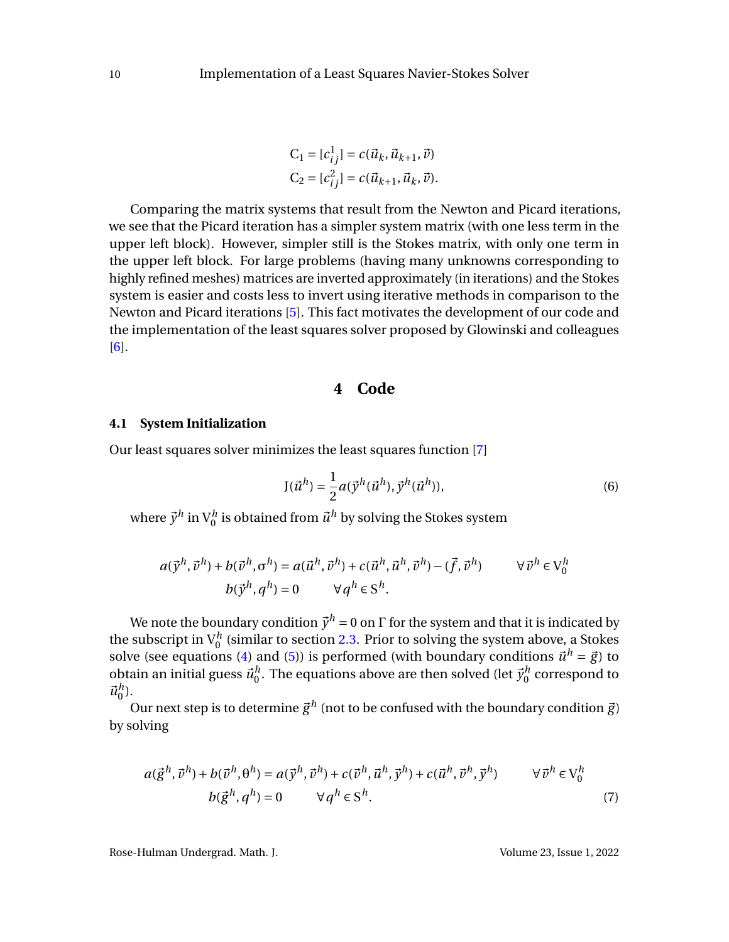$$
C_1 = [c_{ij}^1] = c(\vec{u}_k, \vec{u}_{k+1}, \vec{v})
$$
  
\n
$$
C_2 = [c_{ij}^2] = c(\vec{u}_{k+1}, \vec{u}_k, \vec{v}).
$$

Comparing the matrix systems that result from the Newton and Picard iterations, we see that the Picard iteration has a simpler system matrix (with one less term in the upper left block). However, simpler still is the Stokes matrix, with only one term in the upper left block. For large problems (having many unknowns corresponding to highly refined meshes) matrices are inverted approximately (in iterations) and the Stokes system is easier and costs less to invert using iterative methods in comparison to the Newton and Picard iterations [\[5\]](#page-17-4). This fact motivates the development of our code and the implementation of the least squares solver proposed by Glowinski and colleagues [\[6\]](#page-17-5).

## **4 Code**

#### **4.1 System Initialization**

<span id="page-11-0"></span>Our least squares solver minimizes the least squares function [\[7\]](#page-17-3)

$$
J(\vec{u}^h) = \frac{1}{2} a(\vec{y}^h(\vec{u}^h), \vec{y}^h(\vec{u}^h)),
$$
\n(6)

where  $\vec{y}^h$  in  $\mathrm{V}^h_0$  is obtained from  $\vec{u}^h$  by solving the Stokes system

$$
a(\vec{y}^h, \vec{v}^h) + b(\vec{v}^h, \sigma^h) = a(\vec{u}^h, \vec{v}^h) + c(\vec{u}^h, \vec{u}^h, \vec{v}^h) - (\vec{f}, \vec{v}^h) \qquad \forall \vec{v}^h \in V_0^h
$$
  

$$
b(\vec{y}^h, q^h) = 0 \qquad \forall q^h \in S^h.
$$

We note the boundary condition  $\vec{y}^h = 0$  on  $\Gamma$  for the system and that it is indicated by the subscript in  $V_0^h$  (similar to section [2.3.](#page-7-0) Prior to solving the system above, a Stokes 0 solve (see equations [\(4\)](#page-8-0) and [\(5\)](#page-9-0)) is performed (with boundary conditions  $\vec{u}^h = \vec{g}$ ) to obtain an initial guess  $\vec{u}_0^h$  $\frac{h}{0}$ . The equations above are then solved (let  $\vec{y}_0^h$  $\int_0^h$  correspond to  $\vec{u}_0^h$  $\binom{n}{0}$ .

Our next step is to determine  $\vec{g}^h$  (not to be confused with the boundary condition  $\vec{g}$ ) by solving

$$
a(\vec{g}^h, \vec{v}^h) + b(\vec{v}^h, \theta^h) = a(\vec{y}^h, \vec{v}^h) + c(\vec{v}^h, \vec{u}^h, \vec{y}^h) + c(\vec{u}^h, \vec{v}^h, \vec{y}^h) \qquad \forall \vec{v}^h \in V_0^h
$$
  

$$
b(\vec{g}^h, q^h) = 0 \qquad \forall q^h \in S^h.
$$
 (7)

<span id="page-11-1"></span>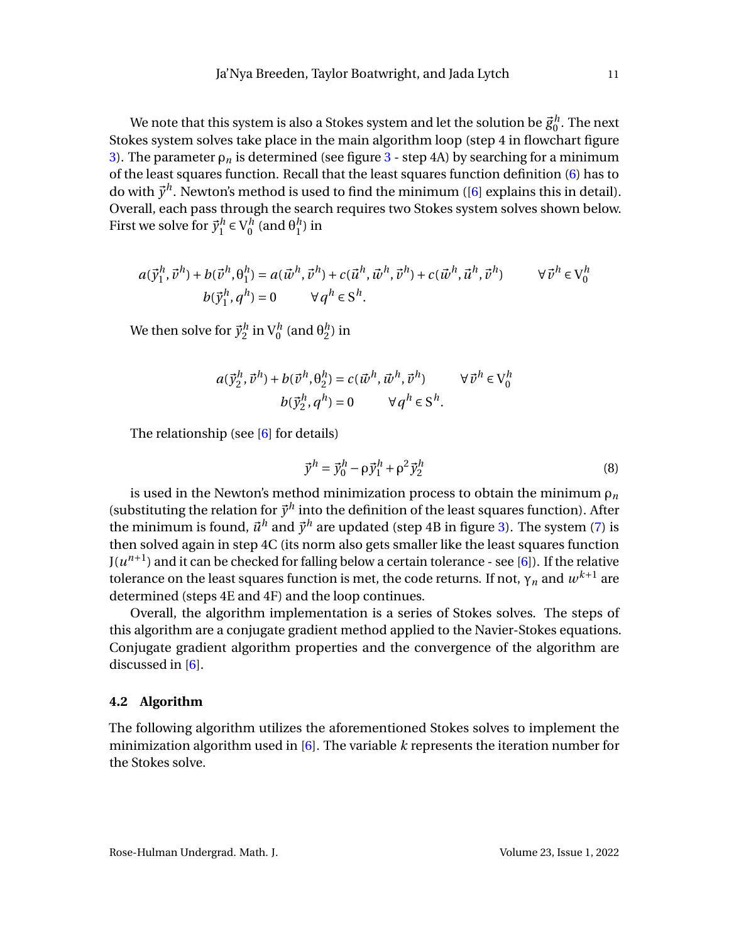We note that this system is also a Stokes system and let the solution be  $\vec{g}^h_0$  $\frac{a}{0}$ . The next Stokes system solves take place in the main algorithm loop (step 4 in flowchart figure [3\)](#page-13-0). The parameter  $\rho_n$  is determined (see figure [3](#page-13-0) - step 4A) by searching for a minimum of the least squares function. Recall that the least squares function definition [\(6\)](#page-11-0) has to do with  $\vec{y}^h$ . Newton's method is used to find the minimum ([\[6\]](#page-17-5) explains this in detail). Overall, each pass through the search requires two Stokes system solves shown below. First we solve for  $\vec{y}_1^h$  $\bigcup_{1}^{h} \in V_{0}^{h}$  $\frac{h}{0}$  (and  $\theta_1^h$  $_1^n$ ) in

$$
a(\vec{y}_1^h, \vec{v}^h) + b(\vec{v}^h, \theta_1^h) = a(\vec{w}^h, \vec{v}^h) + c(\vec{u}^h, \vec{w}^h, \vec{v}^h) + c(\vec{w}^h, \vec{u}^h, \vec{v}^h) \qquad \forall \vec{v}^h \in V_0^h
$$
  

$$
b(\vec{y}_1^h, q^h) = 0 \qquad \forall q^h \in S^h.
$$

We then solve for  $\vec{y}_2^h$  $\frac{1}{2}$  in  $\mathrm{V}^h_0$  (and  $\mathrm{\theta}^h_2$  $_2^n$ ) in

$$
a(\vec{y}_2^h, \vec{v}^h) + b(\vec{v}^h, \theta_2^h) = c(\vec{w}^h, \vec{w}^h, \vec{v}^h) \qquad \forall \vec{v}^h \in V_0^h
$$

$$
b(\vec{y}_2^h, q^h) = 0 \qquad \forall q^h \in S^h.
$$

The relationship (see [\[6\]](#page-17-5) for details)

$$
\vec{y}^h = \vec{y}_0^h - \rho \vec{y}_1^h + \rho^2 \vec{y}_2^h \tag{8}
$$

is used in the Newton's method minimization process to obtain the minimum  $\rho_n$ (substituting the relation for  $\vec{y}^h$  into the definition of the least squares function). After the minimum is found,  $\vec{u}^h$  and  $\vec{y}^h$  are updated (step 4B in figure [3\)](#page-13-0). The system [\(7\)](#page-11-1) is then solved again in step 4C (its norm also gets smaller like the least squares function  $J(u^{n+1})$  and it can be checked for falling below a certain tolerance - see [\[6\]](#page-17-5)). If the relative tolerance on the least squares function is met, the code returns. If not,  $\gamma_n$  and  $w^{k+1}$  are determined (steps 4E and 4F) and the loop continues.

Overall, the algorithm implementation is a series of Stokes solves. The steps of this algorithm are a conjugate gradient method applied to the Navier-Stokes equations. Conjugate gradient algorithm properties and the convergence of the algorithm are discussed in [\[6\]](#page-17-5).

#### **4.2 Algorithm**

The following algorithm utilizes the aforementioned Stokes solves to implement the minimization algorithm used in [\[6\]](#page-17-5). The variable *k* represents the iteration number for the Stokes solve.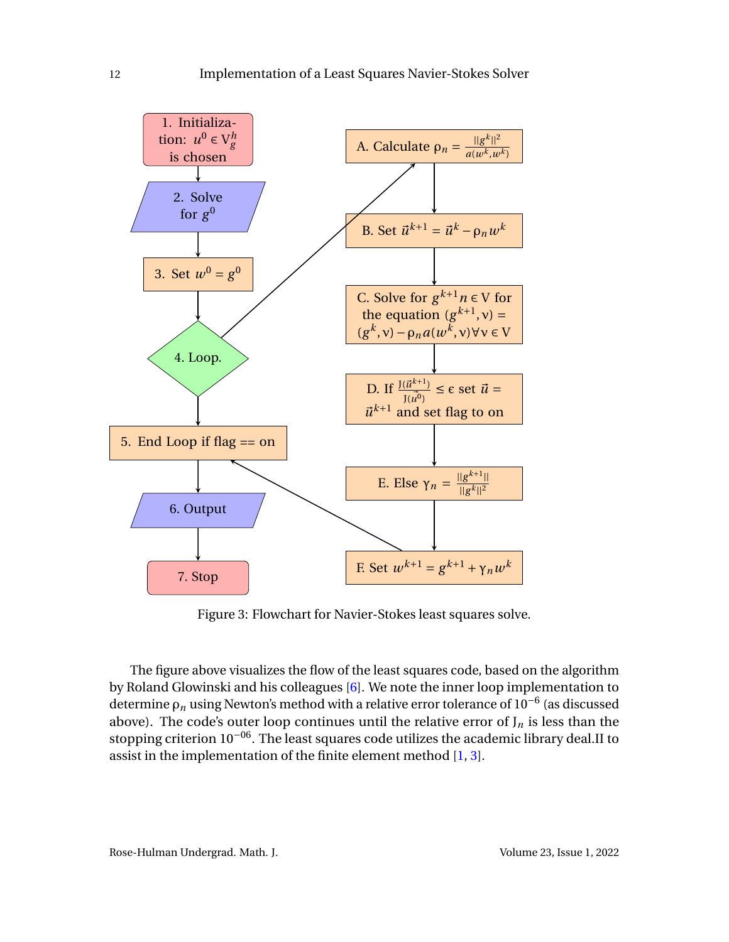<span id="page-13-0"></span>

Figure 3: Flowchart for Navier-Stokes least squares solve.

The figure above visualizes the flow of the least squares code, based on the algorithm by Roland Glowinski and his colleagues [\[6\]](#page-17-5). We note the inner loop implementation to determine <sup>ρ</sup>*<sup>n</sup>* using Newton's method with a relative error tolerance of 10−<sup>6</sup> (as discussed above). The code's outer loop continues until the relative error of  $J_n$  is less than the stopping criterion 10−06. The least squares code utilizes the academic library deal.II to assist in the implementation of the finite element method [\[1,](#page-17-6) [3\]](#page-17-7).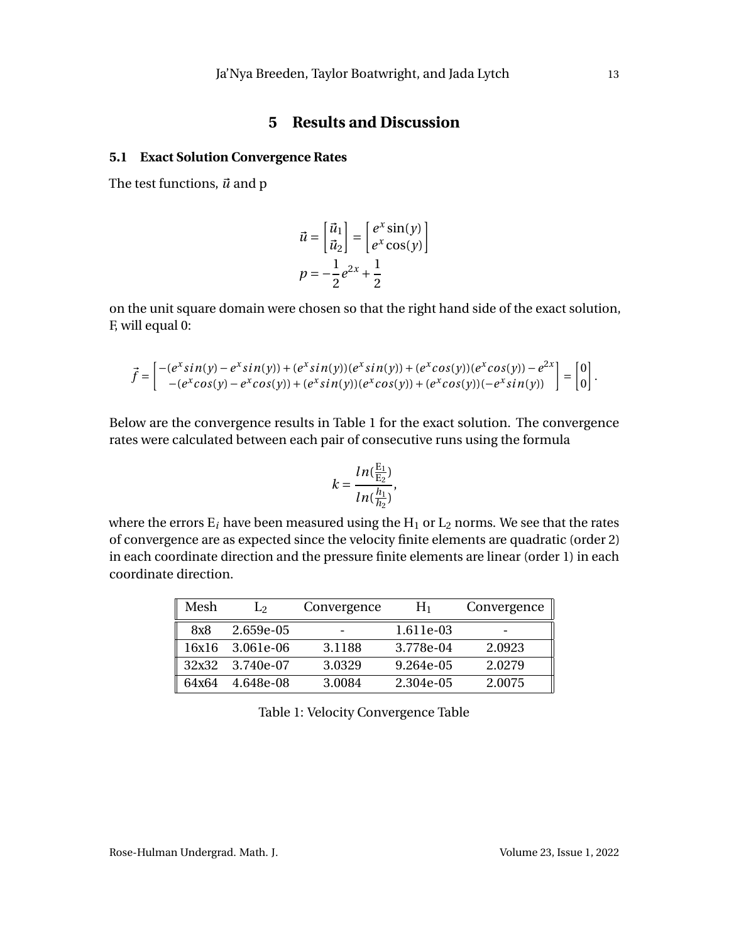# **5 Results and Discussion**

#### **5.1 Exact Solution Convergence Rates**

The test functions,  $\vec{u}$  and p

$$
\vec{u} = \begin{bmatrix} \vec{u}_1 \\ \vec{u}_2 \end{bmatrix} = \begin{bmatrix} e^x \sin(y) \\ e^x \cos(y) \end{bmatrix}
$$

$$
p = -\frac{1}{2}e^{2x} + \frac{1}{2}
$$

on the unit square domain were chosen so that the right hand side of the exact solution, F, will equal 0:

$$
\vec{f} = \begin{bmatrix} -(e^x \sin(y) - e^x \sin(y)) + (e^x \sin(y))(e^x \sin(y)) + (e^x \cos(y))(e^x \cos(y)) - e^{2x} \\ -(e^x \cos(y) - e^x \cos(y)) + (e^x \sin(y))(e^x \cos(y)) + (e^x \cos(y))(e^x \sin(y)) \end{bmatrix} = \begin{bmatrix} 0 \\ 0 \end{bmatrix}.
$$

Below are the convergence results in Table 1 for the exact solution. The convergence rates were calculated between each pair of consecutive runs using the formula

$$
k = \frac{ln(\frac{E_1}{E_2})}{ln(\frac{h_1}{h_2})},
$$

where the errors  $E_i$  have been measured using the  $H_1$  or  $L_2$  norms. We see that the rates of convergence are as expected since the velocity finite elements are quadratic (order 2) in each coordinate direction and the pressure finite elements are linear (order 1) in each coordinate direction.

| Mesh  | $\mathbf{L}_{2}$ | Convergence | $H_1$     | Convergence |
|-------|------------------|-------------|-----------|-------------|
| 8x8   | 2.659e-05        |             | 1.611e-03 |             |
| 16x16 | 3.061e-06        | 3.1188      | 3.778e-04 | 2.0923      |
|       | 32x32 3.740e-07  | 3.0329      | 9.264e-05 | 2.0279      |
| 64x64 | 4.648e-08        | 3.0084      | 2.304e-05 | 2.0075      |

Table 1: Velocity Convergence Table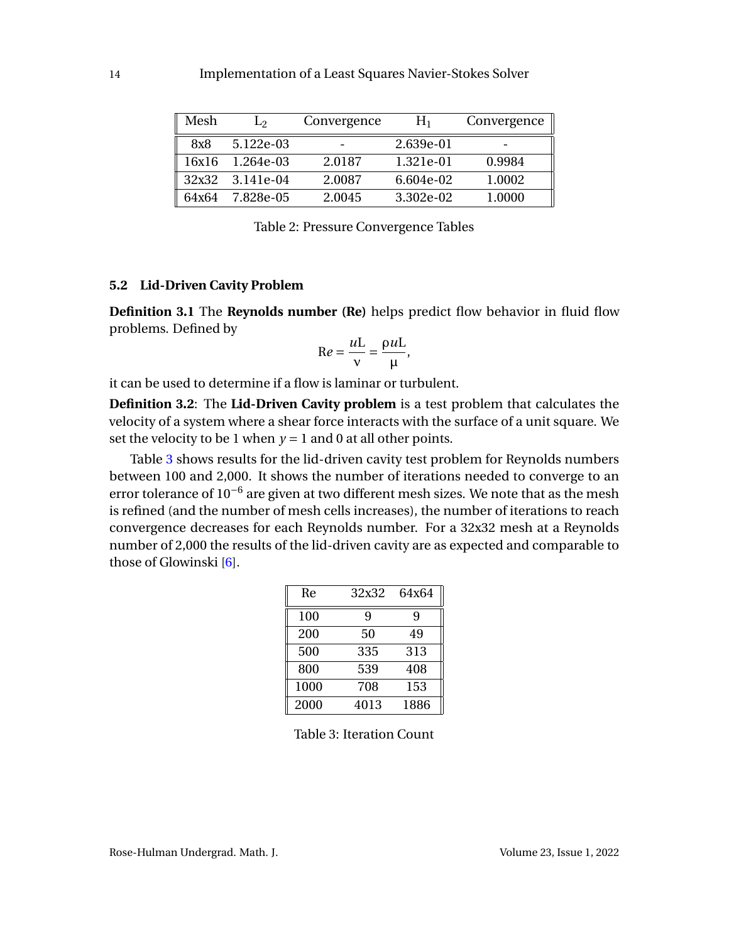| Mesh  | $\mathsf{L}_{2}$ | Convergence | $H_1$     | Convergence |
|-------|------------------|-------------|-----------|-------------|
| 8x8   | 5.122e-03        |             | 2.639e-01 |             |
| 16x16 | 1.264e-03        | 2.0187      | 1.321e-01 | 0.9984      |
| 32x32 | 3.141e-04        | 2.0087      | 6.604e-02 | 1.0002      |
| 64x64 | 7.828e-05        | 2.0045      | 3.302e-02 | 1.0000      |

Table 2: Pressure Convergence Tables

#### **5.2 Lid-Driven Cavity Problem**

**Definition 3.1** The **Reynolds number (Re)** helps predict flow behavior in fluid flow problems. Defined by

$$
Re = \frac{uL}{v} = \frac{\rho uL}{\mu},
$$

it can be used to determine if a flow is laminar or turbulent.

**Definition 3.2**: The **Lid-Driven Cavity problem** is a test problem that calculates the velocity of a system where a shear force interacts with the surface of a unit square. We set the velocity to be 1 when  $y = 1$  and 0 at all other points.

<span id="page-15-0"></span>Table [3](#page-15-0) shows results for the lid-driven cavity test problem for Reynolds numbers between 100 and 2,000. It shows the number of iterations needed to converge to an error tolerance of 10<sup>-6</sup> are given at two different mesh sizes. We note that as the mesh is refined (and the number of mesh cells increases), the number of iterations to reach convergence decreases for each Reynolds number. For a 32x32 mesh at a Reynolds number of 2,000 the results of the lid-driven cavity are as expected and comparable to those of Glowinski [\[6\]](#page-17-5).

| Re   | 32x32 | 64x64 |
|------|-------|-------|
| 100  | 9     | 9     |
| 200  | 50    | 49    |
| 500  | 335   | 313   |
| 800  | 539   | 408   |
| 1000 | 708   | 153   |
| 2000 | 4013  | 1886  |

Table 3: Iteration Count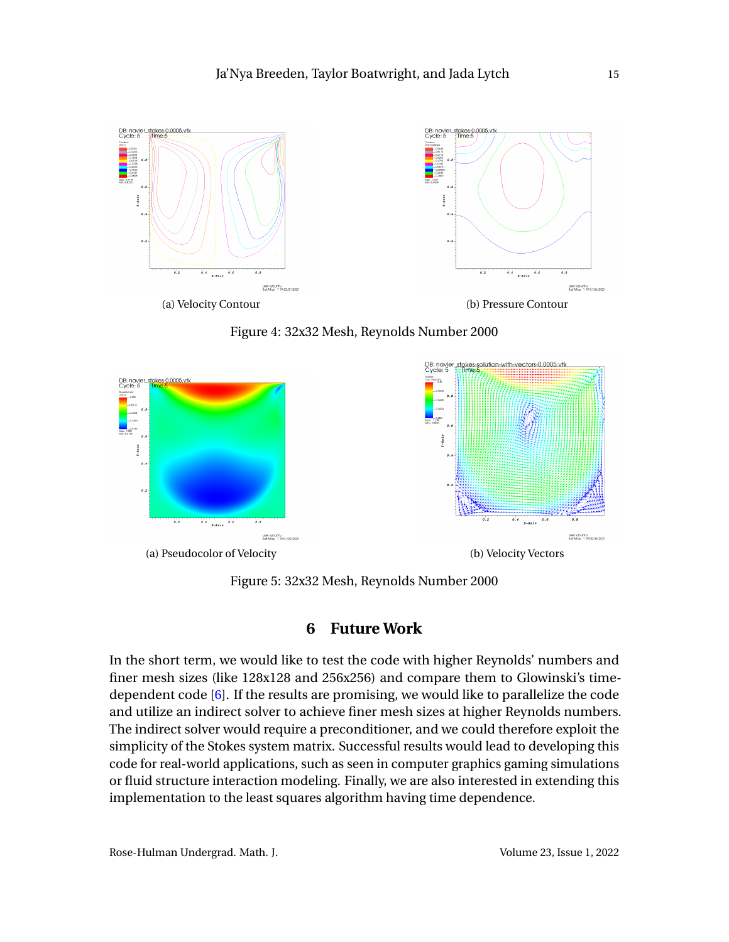![](_page_16_Figure_1.jpeg)

![](_page_16_Figure_2.jpeg)

![](_page_16_Figure_3.jpeg)

Figure 5: 32x32 Mesh, Reynolds Number 2000

# **6 Future Work**

In the short term, we would like to test the code with higher Reynolds' numbers and finer mesh sizes (like 128x128 and 256x256) and compare them to Glowinski's timedependent code [\[6\]](#page-17-5). If the results are promising, we would like to parallelize the code and utilize an indirect solver to achieve finer mesh sizes at higher Reynolds numbers. The indirect solver would require a preconditioner, and we could therefore exploit the simplicity of the Stokes system matrix. Successful results would lead to developing this code for real-world applications, such as seen in computer graphics gaming simulations or fluid structure interaction modeling. Finally, we are also interested in extending this implementation to the least squares algorithm having time dependence.